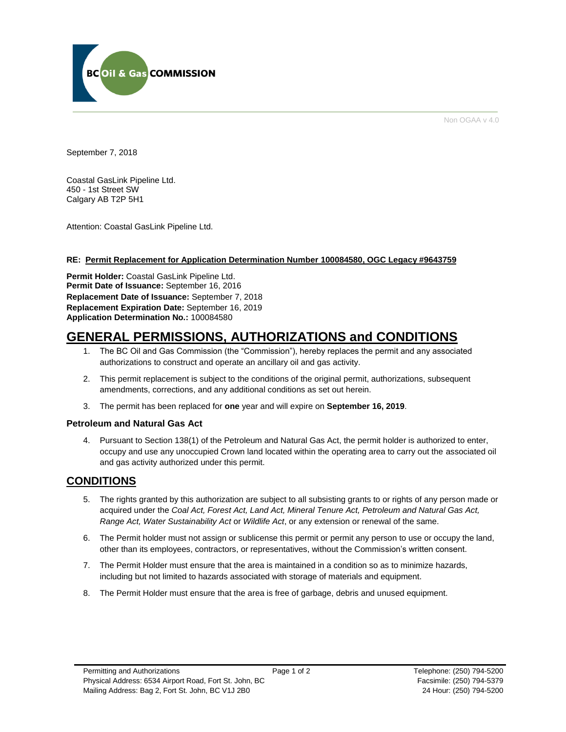

Non OGAA v 4.0

September 7, 2018

Coastal GasLink Pipeline Ltd. 450 - 1st Street SW Calgary AB T2P 5H1

Attention: Coastal GasLink Pipeline Ltd.

# **RE: Permit Replacement for Application Determination Number 100084580, OGC Legacy #9643759**

**Permit Holder:** Coastal GasLink Pipeline Ltd. **Permit Date of Issuance:** September 16, 2016 **Replacement Date of Issuance:** September 7, 2018 **Replacement Expiration Date:** September 16, 2019 **Application Determination No.:** 100084580

# **GENERAL PERMISSIONS, AUTHORIZATIONS and CONDITIONS**

- 1. The BC Oil and Gas Commission (the "Commission"), hereby replaces the permit and any associated authorizations to construct and operate an ancillary oil and gas activity.
- 2. This permit replacement is subject to the conditions of the original permit, authorizations, subsequent amendments, corrections, and any additional conditions as set out herein.
- 3. The permit has been replaced for **one** year and will expire on **September 16, 2019**.

# **Petroleum and Natural Gas Act**

4. Pursuant to Section 138(1) of the Petroleum and Natural Gas Act, the permit holder is authorized to enter, occupy and use any unoccupied Crown land located within the operating area to carry out the associated oil and gas activity authorized under this permit.

# **CONDITIONS**

- 5. The rights granted by this authorization are subject to all subsisting grants to or rights of any person made or acquired under the *Coal Act, Forest Act, Land Act, Mineral Tenure Act, Petroleum and Natural Gas Act, Range Act, Water Sustainability Act* or *Wildlife Act*, or any extension or renewal of the same.
- 6. The Permit holder must not assign or sublicense this permit or permit any person to use or occupy the land, other than its employees, contractors, or representatives, without the Commission's written consent.
- 7. The Permit Holder must ensure that the area is maintained in a condition so as to minimize hazards, including but not limited to hazards associated with storage of materials and equipment.
- 8. The Permit Holder must ensure that the area is free of garbage, debris and unused equipment.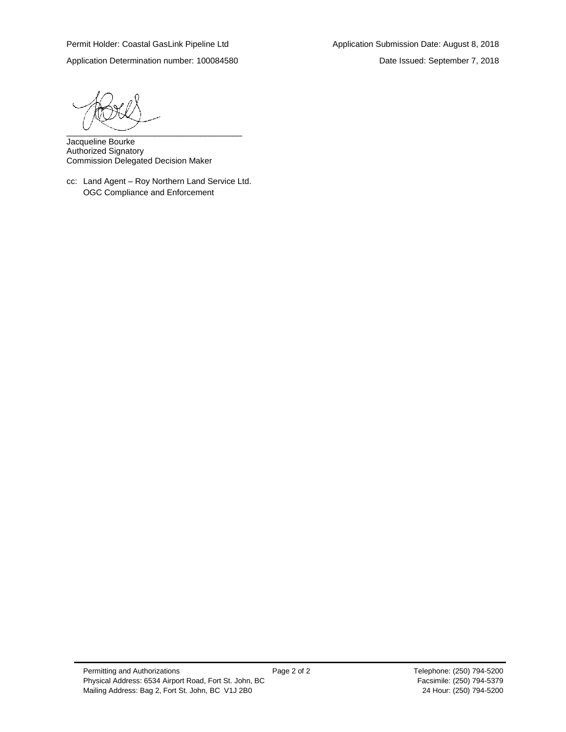Application Determination number: 100084580 Date Issued: September 7, 2018

 $\overbrace{\phantom{aaaaa}}^{a}$ 

Jacqueline Bourke Authorized Signatory Commission Delegated Decision Maker

cc: Land Agent – Roy Northern Land Service Ltd. OGC Compliance and Enforcement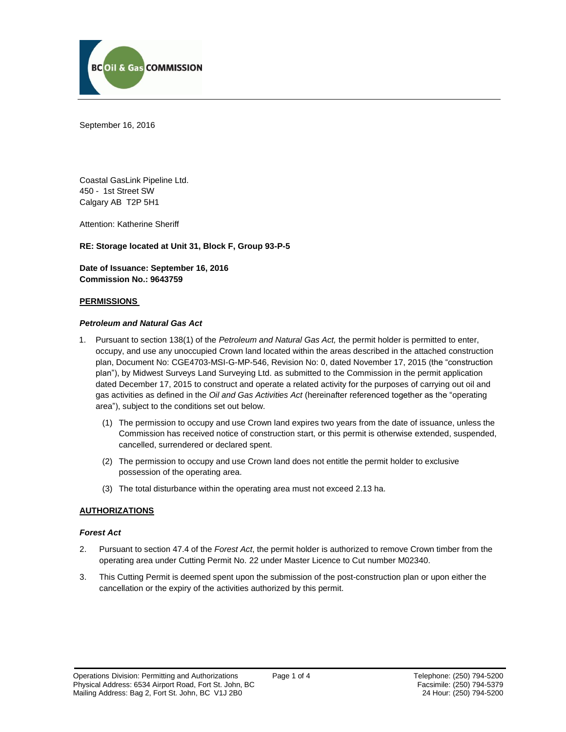

September 16, 2016

Coastal GasLink Pipeline Ltd. 450 - 1st Street SW Calgary AB T2P 5H1

Attention: Katherine Sheriff

**RE: Storage located at Unit 31, Block F, Group 93-P-5**

**Date of Issuance: September 16, 2016 Commission No.: 9643759**

### **PERMISSIONS**

### *Petroleum and Natural Gas Act*

- 1. Pursuant to section 138(1) of the *Petroleum and Natural Gas Act,* the permit holder is permitted to enter, occupy, and use any unoccupied Crown land located within the areas described in the attached construction plan, Document No: CGE4703-MSI-G-MP-546, Revision No: 0, dated November 17, 2015 (the "construction plan"), by Midwest Surveys Land Surveying Ltd. as submitted to the Commission in the permit application dated December 17, 2015 to construct and operate a related activity for the purposes of carrying out oil and gas activities as defined in the *Oil and Gas Activities Act* (hereinafter referenced together as the "operating area"), subject to the conditions set out below.
	- (1) The permission to occupy and use Crown land expires two years from the date of issuance, unless the Commission has received notice of construction start, or this permit is otherwise extended, suspended, cancelled, surrendered or declared spent.
	- (2) The permission to occupy and use Crown land does not entitle the permit holder to exclusive possession of the operating area.
	- (3) The total disturbance within the operating area must not exceed 2.13 ha.

# **AUTHORIZATIONS**

### *Forest Act*

- 2. Pursuant to section 47.4 of the *Forest Act*, the permit holder is authorized to remove Crown timber from the operating area under Cutting Permit No. 22 under Master Licence to Cut number M02340.
- 3. This Cutting Permit is deemed spent upon the submission of the post-construction plan or upon either the cancellation or the expiry of the activities authorized by this permit.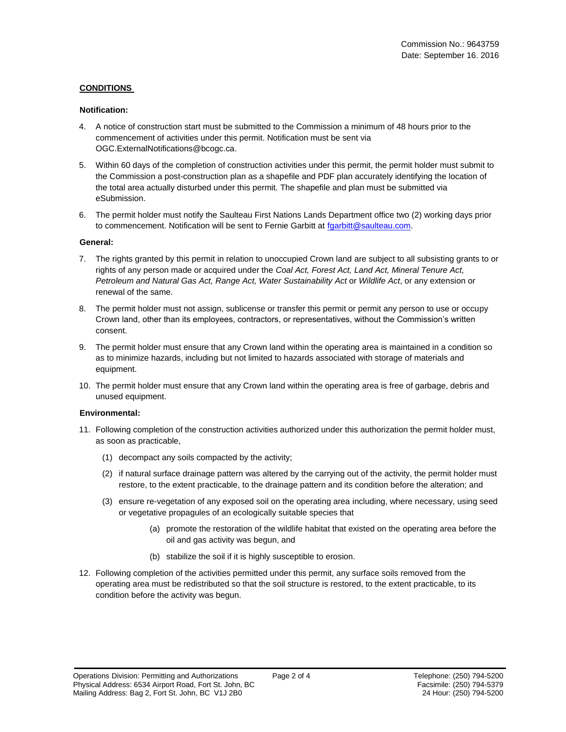# **CONDITIONS**

### **Notification:**

- 4. A notice of construction start must be submitted to the Commission a minimum of 48 hours prior to the commencement of activities under this permit. Notification must be sent via OGC.ExternalNotifications@bcogc.ca.
- 5. Within 60 days of the completion of construction activities under this permit, the permit holder must submit to the Commission a post-construction plan as a shapefile and PDF plan accurately identifying the location of the total area actually disturbed under this permit. The shapefile and plan must be submitted via eSubmission.
- 6. The permit holder must notify the Saulteau First Nations Lands Department office two (2) working days prior to commencement. Notification will be sent to Fernie Garbitt at [fgarbitt@saulteau.com.](mailto:fgarbitt@saulteau.com)

### **General:**

- 7. The rights granted by this permit in relation to unoccupied Crown land are subject to all subsisting grants to or rights of any person made or acquired under the *Coal Act, Forest Act, Land Act, Mineral Tenure Act, Petroleum and Natural Gas Act, Range Act, Water Sustainability Act* or *Wildlife Act*, or any extension or renewal of the same.
- 8. The permit holder must not assign, sublicense or transfer this permit or permit any person to use or occupy Crown land, other than its employees, contractors, or representatives, without the Commission's written consent.
- 9. The permit holder must ensure that any Crown land within the operating area is maintained in a condition so as to minimize hazards, including but not limited to hazards associated with storage of materials and equipment.
- 10. The permit holder must ensure that any Crown land within the operating area is free of garbage, debris and unused equipment.

# **Environmental:**

- 11. Following completion of the construction activities authorized under this authorization the permit holder must, as soon as practicable,
	- (1) decompact any soils compacted by the activity;
	- (2) if natural surface drainage pattern was altered by the carrying out of the activity, the permit holder must restore, to the extent practicable, to the drainage pattern and its condition before the alteration; and
	- (3) ensure re-vegetation of any exposed soil on the operating area including, where necessary, using seed or vegetative propagules of an ecologically suitable species that
		- (a) promote the restoration of the wildlife habitat that existed on the operating area before the oil and gas activity was begun, and
		- (b) stabilize the soil if it is highly susceptible to erosion.
- 12. Following completion of the activities permitted under this permit, any surface soils removed from the operating area must be redistributed so that the soil structure is restored, to the extent practicable, to its condition before the activity was begun.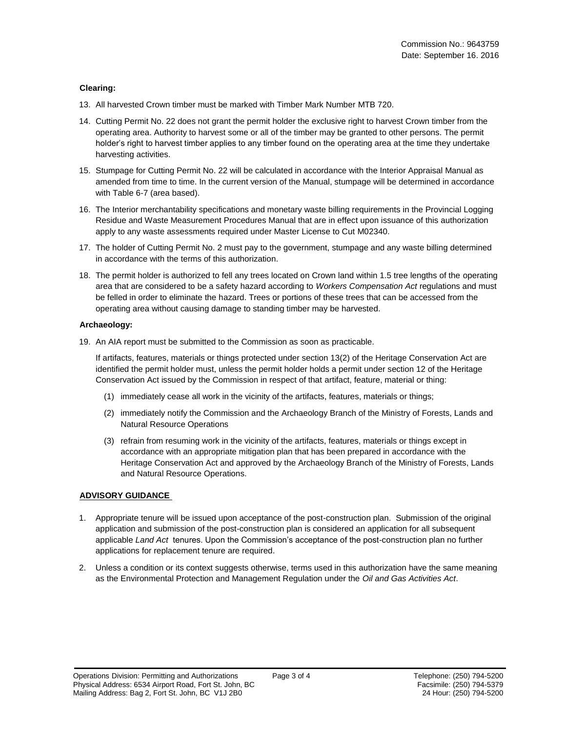### **Clearing:**

- 13. All harvested Crown timber must be marked with Timber Mark Number MTB 720.
- 14. Cutting Permit No. 22 does not grant the permit holder the exclusive right to harvest Crown timber from the operating area. Authority to harvest some or all of the timber may be granted to other persons. The permit holder's right to harvest timber applies to any timber found on the operating area at the time they undertake harvesting activities.
- 15. Stumpage for Cutting Permit No. 22 will be calculated in accordance with the Interior Appraisal Manual as amended from time to time. In the current version of the Manual, stumpage will be determined in accordance with Table 6-7 (area based).
- 16. The Interior merchantability specifications and monetary waste billing requirements in the Provincial Logging Residue and Waste Measurement Procedures Manual that are in effect upon issuance of this authorization apply to any waste assessments required under Master License to Cut M02340.
- 17. The holder of Cutting Permit No. 2 must pay to the government, stumpage and any waste billing determined in accordance with the terms of this authorization.
- 18. The permit holder is authorized to fell any trees located on Crown land within 1.5 tree lengths of the operating area that are considered to be a safety hazard according to *Workers Compensation Act* regulations and must be felled in order to eliminate the hazard. Trees or portions of these trees that can be accessed from the operating area without causing damage to standing timber may be harvested.

### **Archaeology:**

19. An AIA report must be submitted to the Commission as soon as practicable.

If artifacts, features, materials or things protected under section 13(2) of the Heritage Conservation Act are identified the permit holder must, unless the permit holder holds a permit under section 12 of the Heritage Conservation Act issued by the Commission in respect of that artifact, feature, material or thing:

- (1) immediately cease all work in the vicinity of the artifacts, features, materials or things;
- (2) immediately notify the Commission and the Archaeology Branch of the Ministry of Forests, Lands and Natural Resource Operations
- (3) refrain from resuming work in the vicinity of the artifacts, features, materials or things except in accordance with an appropriate mitigation plan that has been prepared in accordance with the Heritage Conservation Act and approved by the Archaeology Branch of the Ministry of Forests, Lands and Natural Resource Operations.

# **ADVISORY GUIDANCE**

- 1. Appropriate tenure will be issued upon acceptance of the post-construction plan. Submission of the original application and submission of the post-construction plan is considered an application for all subsequent applicable *Land Act* tenures. Upon the Commission's acceptance of the post-construction plan no further applications for replacement tenure are required.
- 2. Unless a condition or its context suggests otherwise, terms used in this authorization have the same meaning as the Environmental Protection and Management Regulation under the *Oil and Gas Activities Act*.